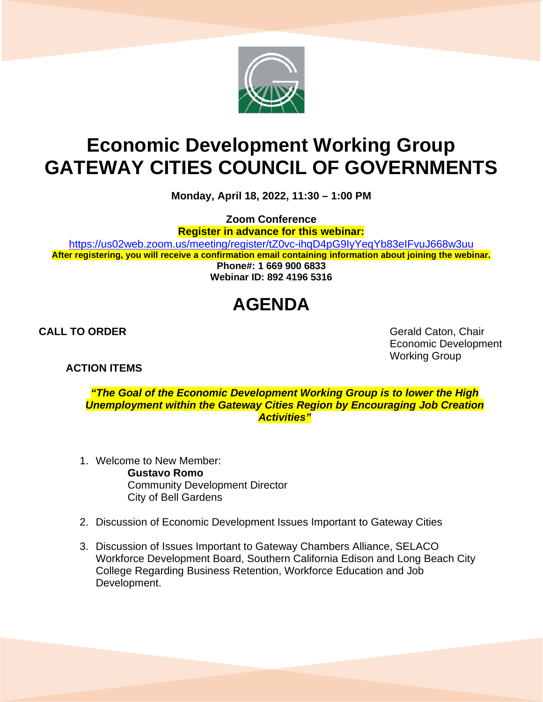

## **Economic Development Working Group GATEWAY CITIES COUNCIL OF GOVERNMENTS**

**Monday, April 18, 2022, 11:30 – 1:00 PM**

**Zoom Conference**

**Register in advance for this webinar:**

<https://us02web.zoom.us/meeting/register/tZ0vc-ihqD4pG9IyYeqYb83eIFvuJ668w3uu> **After registering, you will receive a confirmation email containing information about joining the webinar.**

**Phone#: 1 669 900 6833 Webinar ID: 892 4196 5316**

## **AGENDA**

## **ACTION ITEMS**

**CALL TO ORDER** Gerald Caton, Chair Economic Development Working Group

*"The Goal of the Economic Development Working Group is to lower the High Unemployment within the Gateway Cities Region by Encouraging Job Creation Activities"*

- 1. Welcome to New Member: **Gustavo Romo** Community Development Director City of Bell Gardens
- 2. Discussion of Economic Development Issues Important to Gateway Cities
- 3. Discussion of Issues Important to Gateway Chambers Alliance, SELACO Workforce Development Board, Southern California Edison and Long Beach City College Regarding Business Retention, Workforce Education and Job Development.